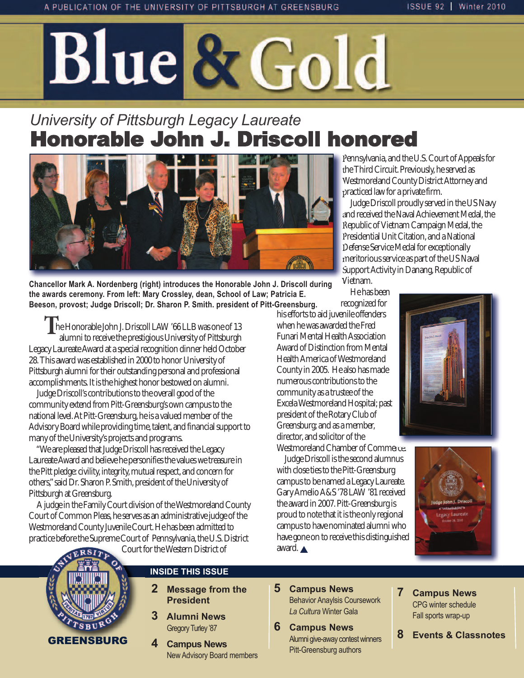# Blue & Gold

# *University of Pittsburgh Legacy Laureate* Honorable John J. Driscoll honored



**Chancellor Mark A. Nordenberg (right) introduces the Honorable John J. Driscoll during the awards ceremony. From left: Mary Crossley, dean, School of Law; Patricia E. Beeson, provost; Judge Driscoll; Dr. Sharon P. Smith. president of Pitt-Greensburg.**

 **T**he Honorable John J. Driscoll LAW '66 LLB was one of 13 alumni to receive the prestigious University of Pittsburgh Legacy Laureate Award at a special recognition dinner held October 28. This award was established in 2000 to honor University of Pittsburgh alumni for their outstanding personal and professional accomplishments. It is the highest honor bestowed on alumni.

Judge Driscoll's contributions to the overall good of the community extend from Pitt-Greensburg's own campus to the national level. At Pitt-Greensburg, he is a valued member of the Advisory Board while providing time, talent, and financial support to many of the University's projects and programs.

"We are pleased that Judge Driscoll has received the Legacy Laureate Award and believe he personifies the values we treasure in the Pitt pledge: civility, integrity, mutual respect, and concern for others," said Dr. Sharon P. Smith, president of the University of Pittsburgh at Greensburg.

A judge in the Family Court division of the Westmoreland County Court of Common Pleas, he serves as an administrative judge of the Westmoreland County Juvenile Court. He has been admitted to practice before the Supreme Court of Pennsylvania, the U.S. District

Court for the Western District of



#### **INSIDE THIS ISSUE**

- **2 Message from the President**
- **3 Alumni News Gregory Turley '87**
- **4 Campus News New Advisory Board members**

Pennsylvania, and the U.S. Court of Appeals for the Third Circuit. Previously, he served as Westmoreland County District Attorney and practiced law for a private firm.

Judge Driscoll proudly served in the US Navy and received the Naval Achievement Medal, the Republic of Vietnam Campaign Medal, the Presidential Unit Citation, and a National Defense Service Medal for exceptionally meritorious service as part of the US Naval Support Activity in Danang, Republic of Vietnam.

He has been

recognized for his efforts to aid juvenile offenders when he was awarded the Fred Funari Mental Health Association Award of Distinction from Mental Health America of Westmoreland County in 2005. He also has made numerous contributions to the community as a trustee of the Excela Westmoreland Hospital; past president of the Rotary Club of Greensburg; and as a member, director, and solicitor of the

Westmoreland Chamber of Commerce. Judge Driscoll is the second alumnus with close ties to the Pitt-Greensburg campus to be named a Legacy Laureate. Gary Amelio A&S '78 LAW '81 received the award in 2007. Pitt-Greensburg is proud to note that it is the only regional campus to have nominated alumni who have gone on to receive this distinguished award.  $\triangle$ 





- **5 Campus News Behavior Anaylsis Coursework** *La Cultura* Winter gala
- **6 Campus News** Alumni give-away contest winners Pitt-Greensburg authors
- **7 Campus News** CPg winter schedule fall sports wrap-up
- **8 Events & Classnotes**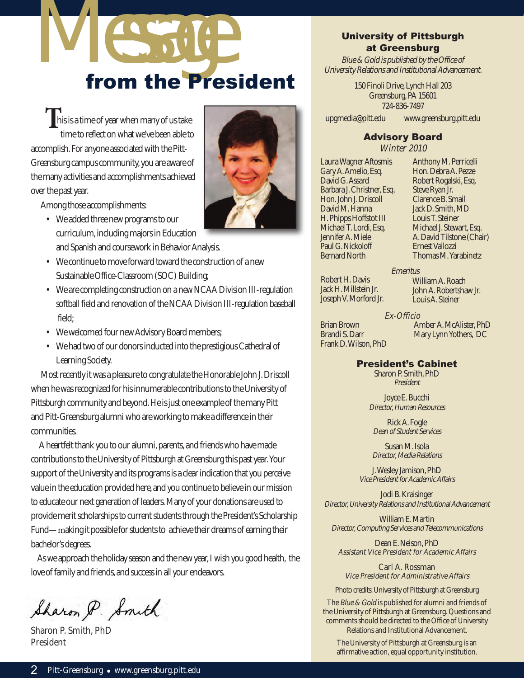

**This is a time of year when many of us take** time to reflect on what we've been able to accomplish. For anyone associated with the Pitt-Greensburg campus community, you are aware of the many activities and accomplishments achieved over the past year.

Among those accomplishments:

- We added three new programs to our curriculum, including majors in Education and Spanish and coursework in Behavior Analysis.
- We continue to move forward toward the construction of a new Sustainable Office-Classroom (SOC) Building;
- We are completing construction on a new NCAA Division III-regulation softball field and renovation of the NCAA Division III-regulation baseball field;
- We welcomed four new Advisory Board members;
- We had two of our donors inducted into the prestigious Cathedral of Learning Society.

Most recently it was a pleasure to congratulate the Honorable John J. Driscoll when he was recognized for his innumerable contributions to the University of Pittsburgh community and beyond. He is just one example of the many Pitt and Pitt-Greensburg alumni who are working to make a difference in their communities.

A heartfelt thank you to our alumni, parents, and friends who have made contributions to the University of Pittsburgh at Greensburg this past year. Your support of the University and its programs is a clear indication that you perceive value in the education provided here, and you continue to believe in our mission to educate our next generation of leaders. Many of your donations are used to provide merit scholarships to current students through the President's Scholarship Fund—making it possible for students to achieve their dreams of earning their bachelor's degrees.

As we approach the holiday season and the new year, I wish you good health, the love of family and friends, and success in all your endeavors.

Sharon P. Smith

Sharon P. Smith, PhD President



#### University of Pittsburgh at Greensburg

Blue & Gold is published by the Office of University Relations and Institutional Advancement.

> 150 Finoli Drive, Lynch Hall 203 Greensburg, PA 15601 724-836-7497

upgmedia@pitt.edu www.greensburg.pitt.edu

#### Advisory Board

Winter 2010

Laura Wagner Aftosmis Gary A. Amelio, Esq. David G. Assard Barbara J. Christner, Esq. Hon. John J. Driscoll David M. Hanna H. Phipps Hoffstot III Michael T. Lordi, Esq. Jennifer A. Miele Paul G. Nickoloff Bernard North

Anthony M. Perricelli Hon. Debra A. Pezze Robert Rogalski, Esq. Steve Ryan Jr. Clarence B. Smail Jack D. Smith, MD Louis T. Steiner Michael J. Stewart, Esq. A. David Tilstone (Chair) Ernest Vallozzi Thomas M. Yarabinetz

Robert H. Davis Jack H. Millstein Jr. Joseph V. Morford Jr.

William A. Roach John A. Robertshaw Jr. Louis A. Steiner

Mary Lynn Yothers, DC

#### Amber A. McAlister, PhD Ex-Officio

**Emeritus** 

Brian Brown Brandi S. Darr Frank D. Wilson, PhD

#### President's Cabinet

Sharon P. Smith, PhD President

Joyce E. Bucchi Director, Human Resources

Rick A. Fogle Dean of Student Services

Susan M. Isola Director, Media Relations

J. Wesley Jamison, PhD Vice President for Academic Affairs

Jodi B. Kraisinger Director, University Relations and Institutional Advancement

William E. Martin Director, Computing Services and Telecommunications

Dean E. Nelson, PhD Assistant Vice President for Academic Affairs

Carl A. Rossman Vice President for Administrative Affairs

Photo credits: University of Pittsburgh at Greensburg

The Blue & Gold is published for alumni and friends of the University of Pittsburgh at Greensburg. Questions and comments should be directed to the Office of University Relations and Institutional Advancement.

The University of Pittsburgh at Greensburg is an affirmative action, equal opportunity institution.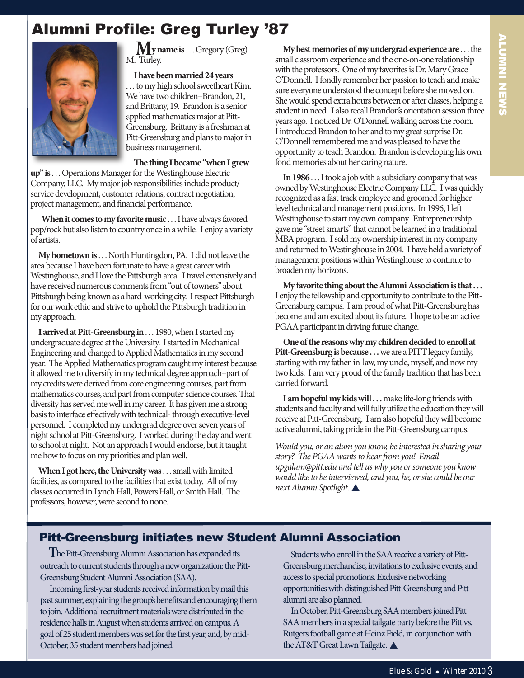## Alumni Profile: Greg Turley '87



**My name is**. . . Gregory (Greg) M. Turley.

**I have been married 24 years** . . . to my high school sweetheart Kim. We have two children–Brandon, 21, and Brittany, 19. Brandon is a senior applied mathematics major at Pitt-Greensburg. Brittany is a freshman at Pitt-Greensburg and plans to major in business management.

**e thing I became "when I grew**

**up" is**. . . Operations Manager for the Westinghouse Electric Company, LLC. My major job responsibilities include product/ service development, customer relations, contract negotiation, project management, and financial performance.

**When it comes to my favorite music** . . . I have always favored pop/rock but also listen to country once in a while. I enjoy a variety of artists.

**My hometown is**. . . North Huntingdon, PA. I did not leave the area because I have been fortunate to have a great career with Westinghouse, and I love the Pittsburgh area. I travel extensively and have received numerous comments from "out of towners" about Pittsburgh being known as a hard-working city. I respect Pittsburgh for our work ethic and strive to uphold the Pittsburgh tradition in my approach.

**I arrived at Pitt-Greensburg in** . . . 1980, when I started my undergraduate degree at the University. I started in Mechanical Engineering and changed to Applied Mathematics in my second year. The Applied Mathematics program caught my interest because it allowed me to diversify in my technical degree approach–part of my credits were derived from core engineering courses, part from mathematics courses, and part from computer science courses. That diversity has served me well in my career. It has given me a strong basis to interface effectively with technical- through executive-level personnel. I completed my undergrad degree over seven years of night school at Pitt-Greensburg. I worked during the day and went to school at night. Not an approach I would endorse, but it taught me how to focus on my priorities and plan well.

**When I got here, the University was**. . . small with limited facilities, as compared to the facilities that exist today. All of my classes occurred in Lynch Hall, Powers Hall, or Smith Hall. The professors, however, were second to none.

**My best memories of my undergrad experience are** . . . the small classroom experience and the one-on-one relationship with the professors. One of my favorites is Dr. Mary Grace O'Donnell. I fondly remember her passion to teach and make sure everyone understood the concept before she moved on. She would spend extra hours between or after classes, helping a student in need. I also recall Brandon's orientation session three years ago. I noticed Dr. O'Donnell walking across the room. I introduced Brandon to her and to my great surprise Dr. O'Donnell remembered me and was pleased to have the opportunity to teach Brandon. Brandon is developing his own fond memories about her caring nature.

**In 1986** . . . I took a job with a subsidiary company that was owned by Westinghouse Electric Company LLC. I was quickly recognized as a fast track employee and groomed for higher level technical and management positions. In 1996, I le Westinghouse to start my own company. Entrepreneurship gave me "street smarts" that cannot be learned in a traditional MBA program. I sold my ownership interest in my company and returned to Westinghouse in 2004. I have held a variety of management positions within Westinghouse to continue to broaden my horizons.

**My favorite thing about the Alumni Association is that . . .**  I enjoy the fellowship and opportunity to contribute to the Pitt-Greensburg campus. I am proud of what Pitt-Greensburg has become and am excited about its future. I hope to be an active PGAA participant in driving future change.

**One of the reasons why my children decided to enroll at** Pitt-Greensburg is because . . . we are a PITT legacy family, starting with my father-in-law, my uncle, myself, and now my two kids. I am very proud of the family tradition that has been carried forward.

I am hopeful my kids will . . . make life-long friends with students and faculty and will fully utilize the education they will receive at Pitt-Greensburg. I am also hopeful they will become active alumni, taking pride in the Pitt-Greensburg campus.

Would you, or an alum you know, be interested in sharing your story? The PGAA wants to hear from you! Email upgalum@pitt.edu and tell us why you or someone you know would like to be interviewed, and you, he, or she could be our next Alumni Spotlight.  $\triangle$ 

## Pitt-Greensburg initiates new Student Alumni Association

**T**he Pitt-Greensburg Alumni Association has expanded its outreach to current students through a new organization: the Pitt-Greensburg Student Alumni Association (SAA).

Incoming first-year students received information by mail this past summer, explaining the group's benefits and encouraging them to join. Additional recruitment materials were distributed in the residence halls in August when students arrived on campus. A goal of 25 student members was set for the first year, and, by mid-October, 35 student members had joined.

Students who enroll in the SAA receive a variety of Pitt-Greensburg merchandise, invitations to exclusive events, and access to special promotions. Exclusive networking opportunities with distinguished Pitt-Greensburg and Pitt alumni are also planned.

In October, Pitt-Greensburg SAA members joined Pitt SAA members in a special tailgate party before the Pitt vs. Rutgers football game at Heinz Field, in conjunction with the AT&T Great Lawn Tailgate.  $\triangle$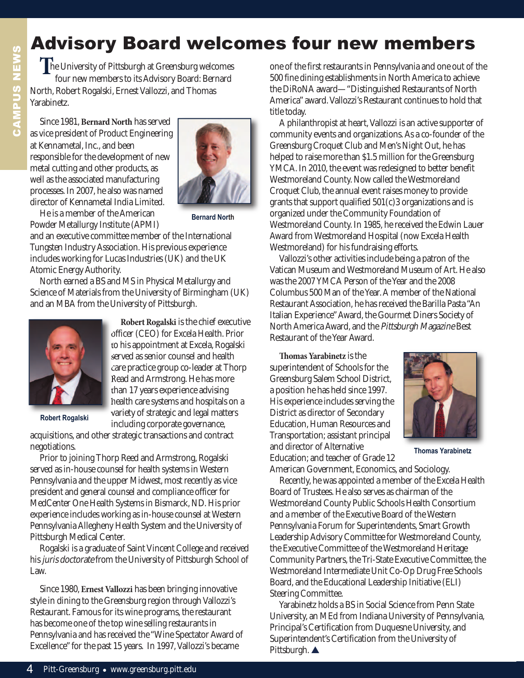# Advisory Board welcomes four new members

**T**he University of Pittsburgh at Greensburg welcomes four new members to its Advisory Board: Bernard North, Robert Rogalski, Ernest Vallozzi, and Thomas Yarabinetz.

Since 1981, **Bernard North** has served as vice president of Product Engineering at Kennametal, Inc., and been responsible for the development of new metal cutting and other products, as well as the associated manufacturing processes. In 2007, he also was named director of Kennametal India Limited.



**Bernard North**

He is a member of the American Powder Metallurgy Institute (APMI)

and an executive committee member of the International Tungsten Industry Association. His previous experience includes working for Lucas Industries (UK) and the UK Atomic Energy Authority.

North earned a BS and MS in Physical Metallurgy and Science of Materials from the University of Birmingham (UK) and an MBA from the University of Pittsburgh.



**Robert Rogalski** is the chief executive officer (CEO) for Excela Health. Prior to his appointment at Excela, Rogalski served as senior counsel and health care practice group co-leader at Thorp Read and Armstrong. He has more than 17 years experience advising health care systems and hospitals on a variety of strategic and legal matters including corporate governance,

**Robert Rogalski**

acquisitions, and other strategic transactions and contract negotiations.

Prior to joining Thorp Reed and Armstrong, Rogalski served as in-house counsel for health systems in Western Pennsylvania and the upper Midwest, most recently as vice president and general counsel and compliance officer for MedCenter One Health Systems in Bismarck, ND. His prior experience includes working as in-house counsel at Western Pennsylvania Allegheny Health System and the University of Pittsburgh Medical Center.

Rogalski is a graduate of Saint Vincent College and received his juris doctorate from the University of Pittsburgh School of Law.

Since 1980, **Ernest Vallozzi** has been bringing innovative style in dining to the Greensburg region through Vallozzi's Restaurant. Famous for its wine programs, the restaurant has become one of the top wine selling restaurants in Pennsylvania and has received the "Wine Spectator Award of Excellence" for the past 15 years. In 1997, Vallozzi's became

one of the first restaurants in Pennsylvania and one out of the 500 fine dining establishments in North America to achieve the DiRoNA award—"Distinguished Restaurants of North America" award. Vallozzi's Restaurant continues to hold that title today.

A philanthropist at heart, Vallozzi is an active supporter of community events and organizations. As a co-founder of the Greensburg Croquet Club and Men's Night Out, he has helped to raise more than \$1.5 million for the Greensburg YMCA. In 2010, the event was redesigned to better benefit Westmoreland County. Now called the Westmoreland Croquet Club, the annual event raises money to provide grants that support qualified 501(c)3 organizations and is organized under the Community Foundation of Westmoreland County. In 1985, he received the Edwin Lauer Award from Westmoreland Hospital (now Excela Health Westmoreland) for his fundraising efforts.

Vallozzi's other activities include being a patron of the Vatican Museum and Westmoreland Museum of Art. He also was the 2007 YMCA Person of the Year and the 2008 Columbus 500 Man of the Year. A member of the National Restaurant Association, he has received the Barilla Pasta "An Italian Experience" Award, the Gourmet Diners Society of North America Award, and the Pittsburgh Magazine Best Restaurant of the Year Award.

**omas Yarabinetz** is the superintendent of Schools for the Greensburg Salem School District, a position he has held since 1997. His experience includes serving the District as director of Secondary Education, Human Resources and Transportation; assistant principal and director of Alternative Education; and teacher of Grade 12



**Thomas Yarabinetz**

American Government, Economics, and Sociology. Recently, he was appointed a member of the Excela Health Board of Trustees. He also serves as chairman of the Westmoreland County Public Schools Health Consortium and a member of the Executive Board of the Western Pennsylvania Forum for Superintendents, Smart Growth Leadership Advisory Committee for Westmoreland County, the Executive Committee of the Westmoreland Heritage Community Partners, the Tri-State Executive Committee, the Westmoreland Intermediate Unit Co-Op Drug Free Schools Board, and the Educational Leadership Initiative (ELI) Steering Committee.

Yarabinetz holds a BS in Social Science from Penn State University, an MEd from Indiana University of Pennsylvania, Principal's Certification from Duquesne University, and Superintendent's Certification from the University of Pittsburgh. ▲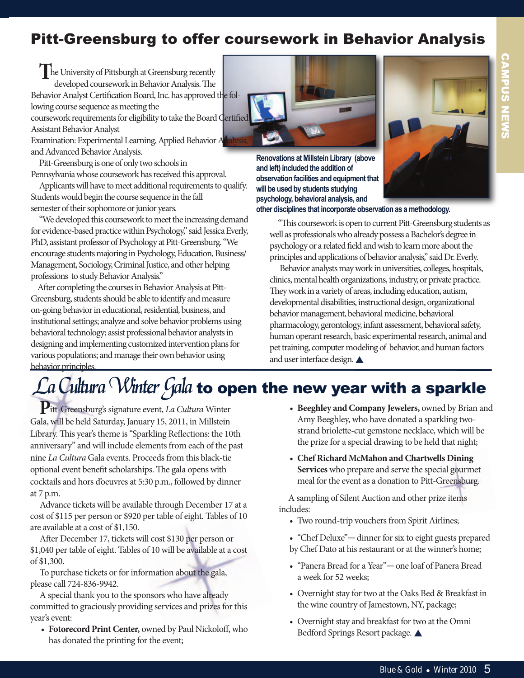## Pitt-Greensburg to offer coursework in Behavior Analysis

**The University of Pittsburgh at Greensburg recently** developed coursework in Behavior Analysis. The Behavior Analyst Certification Board, Inc. has approved the following course sequence as meeting the coursework requirements for eligibility to take the Board Certified Assistant Behavior Analyst Examination: Experimental Learning, Applied Behavior A and Advanced Behavior Analysis.

Pitt-Greensburg is one of only two schools in Pennsylvania whose coursework has received this approval.

Applicants will have to meet additional requirements to qualify. Students would begin the course sequence in the fall semester of their sophomore or junior years.

"We developed this coursework to meet the increasing demand for evidence-based practice within Psychology," said Jessica Everly, PhD, assistant professor of Psychology at Pitt-Greensburg. "We encourage students majoring in Psychology, Education, Business/ Management, Sociology, Criminal Justice, and other helping professions to study Behavior Analysis."

After completing the courses in Behavior Analysis at Pitt-Greensburg, students should be able to identify and measure on-going behavior in educational, residential, business, and institutional settings; analyze and solve behavior problems using behavioral technology; assist professional behavior analysts in designing and implementing customized intervention plans for various populations; and manage their own behavior using behavior principles.



**Renovations at Millstein Library (above and left) included the addition of observation facilities and equipment that will be used by students studying psychology, behavioral analysis, and** 



CAMPUS NEWS

**other disciplines that incorporate observation as a methodology.**

"This coursework is open to current Pitt-Greensburg students as well as professionals who already possess a Bachelor's degree in psychology or a related field and wish to learn more about the principles and applications of behavior analysis," said Dr. Everly.

Behavior analysts may work in universities, colleges, hospitals, clinics, mental health organizations, industry, or private practice. They work in a variety of areas, including education, autism, developmental disabilities, instructional design, organizational behavior management, behavioral medicine, behavioral pharmacology, gerontology, infant assessment, behavioral safety, human operant research, basic experimental research, animal and pet training, computer modeling of behavior, and human factors and user interface design.  $\triangle$ 

# ${\mathcal L}$ a Cultura  ${\mathcal W}$ inter Gala to open the new year with a sparkle

**P**itt-Greensburg's signature event, La Cultura Winter Gala, will be held Saturday, January 15, 2011, in Millstein Library. This year's theme is "Sparkling Reflections: the 10th anniversary" and will include elements from each of the past nine La Cultura Gala events. Proceeds from this black-tie optional event benefit scholarships. The gala opens with cocktails and hors d'oeuvres at 5:30 p.m., followed by dinner at 7 p.m.

Advance tickets will be available through December 17 at a cost of \$115 per person or \$920 per table of eight. Tables of 10 are available at a cost of \$1,150.

After December 17, tickets will cost \$130 per person or \$1,040 per table of eight. Tables of 10 will be available at a cost of \$1,300.

To purchase tickets or for information about the gala, please call 724-836-9942.

A special thank you to the sponsors who have already committed to graciously providing services and prizes for this year's event:

• **Fotorecord Print Center,** owned by Paul Nickoloff, who has donated the printing for the event;

- **Beeghley and Company Jewelers,** owned by Brian and Amy Beeghley, who have donated a sparkling twostrand briolette-cut gemstone necklace, which will be the prize for a special drawing to be held that night;
- **Chef Richard McMahon and Chartwells Dining Services** who prepare and serve the special gourmet meal for the event as a donation to Pitt-Greensburg.

A sampling of Silent Auction and other prize items includes:

- Two round-trip vouchers from Spirit Airlines;
- "Chef Deluxe"—dinner for six to eight guests prepared by Chef Dato at his restaurant or at the winner's home;
- "Panera Bread for a Year"—one loaf of Panera Bread a week for 52 weeks;
- Overnight stay for two at the Oaks Bed & Breakfast in the wine country of Jamestown, NY, package;
- Overnight stay and breakfast for two at the Omni Bedford Springs Resort package.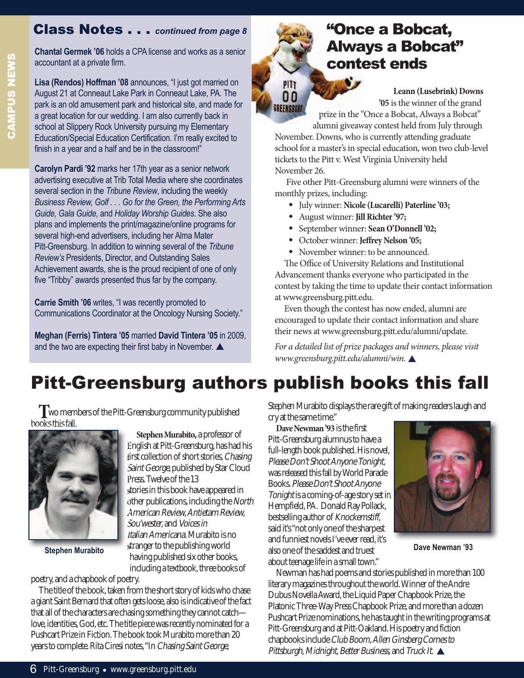## Class Notes . . . *continued from page 8*

**Chantal Germek '06** holds a CPa license and works as a senior accountant at a private firm.

Lisa (Rendos) Hoffman '08 announces, "I just got married on August 21 at Conneaut Lake Park in Conneaut Lake, PA. The park is an old amusement park and historical site, and made for a great location for our wedding. I am also currently back in school at Slippery Rock University pursuing my Elementary Education/Special Education Certification. I'm really excited to finish in a year and a half and be in the classroom!"

**Carolyn Pardi '92** marks her 17th year as a senior network advertising executive at Trib Total Media where she coordinates several section in the *Tribune Review*, including the weekly *Business Review, Golf . . . Go for the Green, the Performing Arts Guide, Gala Guide,* and *Holiday Worship Guides*. She also plans and implements the print/magazine/online programs for several high-end advertisers, including her Alma Mater Pitt-Greensburg. In addition to winning several of the *Tribune* **Review's Presidents, Director, and Outstanding Sales** Achievement awards, she is the proud recipient of one of only five "Tribby" awards presented thus far by the company.

**Carrie Smith '06** writes, "I was recently promoted to Communications Coordinator at the Oncology Nursing Society."

**Meghan (Ferris) Tintera '05** married **David Tintera '05** in 2009, and the two are expecting their first baby in November.  $\triangle$ 

## "Once a Bobcat, Always a Bobcat" contest ends

**Leann (Lusebrink) Downs '05** is the winner of the grand prize in the "Once a Bobcat, Always a Bobcat" alumni giveaway contest held from July through

November. Downs, who is currently attending graduate school for a master's in special education, won two club-level tickets to the Pitt v. West Virginia University held November 26.

Five other Pitt-Greensburg alumni were winners of the monthly prizes, including:

- w July winner: **Nicole (Lucarelli) Paterline '03;**
- w August winner: **Jill Richter '97;**

PITT 00 **GREENSBURG** 

- w September winner: **Sean O'Donnell '02;**
- w October winner: **Jeffrey Nelson '05;**
- November winner: to be announced.

The Office of University Relations and Institutional Advancement thanks everyone who participated in the contest by taking the time to update their contact information at www.greensburg.pitt.edu.

Even though the contest has now ended, alumni are encouraged to update their contact information and share their news at www.greensburg.pitt.edu/alumni/update.

For a detailed list of prize packages and winners, please visit www.greensburg.pitt.edu/alumni/win.

# Pitt-Greensburg authors publish books this fall

**T**wo members of the Pitt-Greensburg community published books this fall.

> **Stephen Murabito,** a professor of English at Pitt-Greensburg, has had his first collection of short stories, Chasing Saint George, published by Star Cloud

stories in this book have appeared in other publications, including the North American Review, Antietam Review,

Italian Americana.Murabito is no stranger to the publishing world having published six other books,

Press. Twelve of the 13

Sou'wester, and Voices in



including a textbook, three books of poetry, and a chapbook of poetry.

The title of the book, taken from the short story of kids who chase a giant Saint Bernard that often gets loose, also is indicative of the fact that all of the characters are chasing something they cannot catch love, identities, God, etc. The title piece was recently nominated for a Pushcart Prize in Fiction. The book took Murabito more than 20 years to complete. Rita Ciresi notes, "In Chasing Saint George,

Stephen Murabito displays the rare gift of making readers laugh and cry at the same time."

**Dave Newman '93** is the first Pitt-Greensburg alumnus to have a full-length book published. His novel, Please Don't Shoot Anyone Tonight, was released this fall by World Parade Books. Please Don't Shoot Anyone Tonightis a coming-of-age story set in Hempfield, PA. Donald Ray Pollack, bestselling author of Knockemstiff, said it's "not only one of the sharpest and funniest novels I've ever read, it's also one of the saddest and truest **Stephen Murabito Dave Newman '93** about teenage life in a small town."



Newman has had poems and stories published in more than 100 literary magazines throughout the world. Winner of the Andre Dubus Novella Award, the Liquid Paper Chapbook Prize, the Platonic Three-Way Press Chapbook Prize, and more than a dozen Pushcart Prize nominations, he has taught in the writing programs at Pitt-Greensburg and at Pitt-Oakland. His poetry and fiction chapbooks include Club Boom, Allen Ginsberg Comes to Pittsburgh, Midnight, Better Business, and Truck It.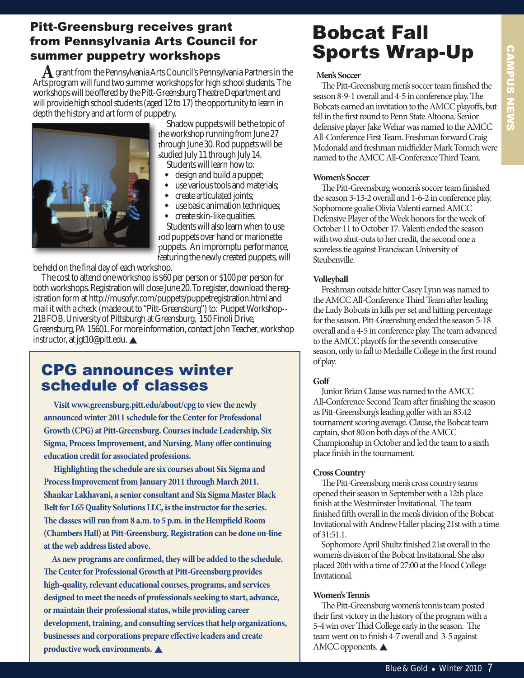## Pitt-Greensburg receives grant from Pennsylvania Arts Council for summer puppetry workshops

**A**grant from the Pennsylvania Arts Council's Pennsylvania Partners in the Arts program will fund two summer workshops for high school students. The workshops will be offered by the Pitt-Greensburg Theatre Department and will provide high school students (aged 12 to 17) the opportunity to learn in depth the history and art form of puppetry.



Shadow puppets will be the topic of the workshop running from June 27 through June 30. Rod puppets will be studied July 11 through July 14. Students will learn how to:

- $\bullet$  design and build a puppet;
- use various tools and materials;
- create articulated joints;
- $\bullet$  use basic animation techniques;
- create skin-like qualities.

Students will also learn when to use rod puppets over hand or marionette puppets. An impromptu performance, featuring the newly created puppets, will

be held on the final day of each workshop.

The cost to attend one workshop is \$60 per person or \$100 per person for both workshops. Registration will close June 20. To register, download the registration form at http://musofyr.com/puppets/puppetregistration.html and mail it with a check (made out to "Pitt-Greensburg") to: Puppet Workshop-- 218 FOB, University of Pittsburgh at Greensburg, 150 Finoli Drive, Greensburg, PA 15601. For more information, contact John Teacher, workshop instructor, at jgt10@pitt.edu. ▲

## CPG announces winter schedule of classes

**Visit www.greensburg.pitt.edu/about/cpg to view the newly announced winter 2011 schedule for the Center for Professional Growth (CPG) at Pitt-Greensburg. Courses include Leadership, Six Sigma, Process Improvement, and Nursing. Many offer continuing education credit for associated professions.** 

**Highlighting the schedule are six courses about Six Sigma and Process Improvement from January 2011 through March 2011. Shankar Lakhavani, a senior consultant and Six Sigma Master Black Belt for L65 Quality Solutions LLC, is the instructor for the series. e classes will run from 8 a.m. to 5 p.m. in the Hempfield Room (Chambers Hall) at Pitt-Greensburg. Registration can be done on-line at the web address listed above.**

**As new programs are confirmed, they will be added to the schedule. e Center for Professional Growth at Pitt-Greensburg provides high-quality, relevant educational courses, programs, and services designed to meet the needs of professionals seeking to start, advance, or maintain their professional status, while providing career development, training, and consulting services that help organizations, businesses and corporations prepare effective leaders and create productive work environments.** 

## Bobcat Fall Sports Wrap-Up

#### **Men's Soccer**

The Pitt-Greensburg men's soccer team finished the season 8-9-1 overall and 4-5 in conference play. The Bobcats earned an invitation to the AMCC playoffs, but fell in the first round to Penn State Altoona. Senior defensive player Jake Wehar was named to the AMCC All-Conference First Team. Freshman forward Craig Mcdonald and freshman midfielder Mark Tomich were named to the AMCC All-Conference Third Team.

#### **Women's Soccer**

The Pitt-Greensburg women's soccer team finished the season 3-13-2 overall and 1-6-2 in conference play. Sophomore goalie Olivia Valenti earned AMCC Defensive Player of the Week honors for the week of October 11 to October 17. Valenti ended the season with two shut-outs to her credit, the second one a scoreless tie against Franciscan University of Steubenville.

#### **Volleyball**

Freshman outside hitter Casey Lynn was named to the AMCC All-Conference Third Team after leading the Lady Bobcats in kills per set and hitting percentage for the season. Pitt-Greensburg ended the season 5-18 overall and a 4-5 in conference play. The team advanced to the AMCC playoffs for the seventh consecutive season, only to fall to Medaille College in the first round of play.

#### **Golf**

Junior Brian Clause was named to the AMCC All-Conference Second Team after finishing the season as Pitt-Greensburg's leading golfer with an 83.42 tournament scoring average. Clause, the Bobcat team captain, shot 80 on both days of the AMCC Championship in October and led the team to a sixth place finish in the tournament.

#### **Cross Country**

The Pitt-Greensburg men's cross country teams opened their season in September with a 12th place finish at the Westminster Invitational. The team finished fih overall in the men's division of the Bobcat Invitational with Andrew Haller placing 21st with a time of 31:51.1.

Sophomore April Shultz finished 21st overall in the women's division of the Bobcat Invitational. She also placed 20th with a time of 27:00 at the Hood College Invitational.

#### **Women's Tennis**

The Pitt-Greensburg women's tennis team posted their first victory in the history of the program with a 5-4 win over Thiel College early in the season. The team went on to finish 4-7 overall and 3-5 against AMCC opponents.  $\blacktriangle$